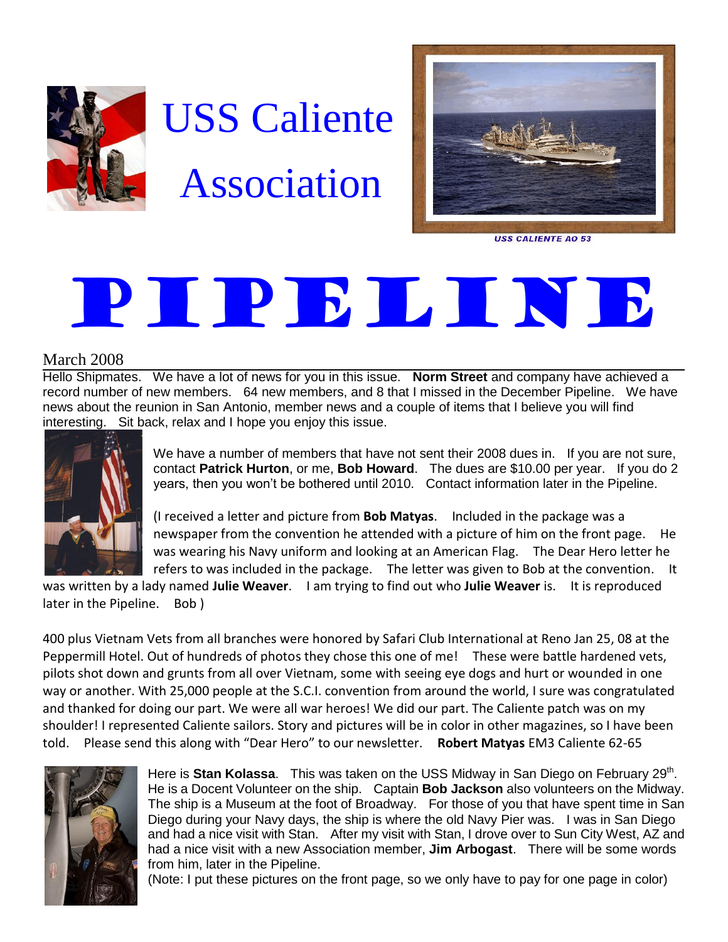

# USS Caliente Association



**USS CALIENTE AO 53** 

# PIPELINE

# March 2008

Hello Shipmates. We have a lot of news for you in this issue. **Norm Street** and company have achieved a record number of new members. 64 new members, and 8 that I missed in the December Pipeline. We have news about the reunion in San Antonio, member news and a couple of items that I believe you will find interesting. Sit back, relax and I hope you enjoy this issue.



We have a number of members that have not sent their 2008 dues in. If you are not sure, contact **Patrick Hurton**, or me, **Bob Howard**. The dues are \$10.00 per year. If you do 2 years, then you won't be bothered until 2010. Contact information later in the Pipeline.

(I received a letter and picture from **Bob Matyas**. Included in the package was a newspaper from the convention he attended with a picture of him on the front page. He was wearing his Navy uniform and looking at an American Flag. The Dear Hero letter he refers to was included in the package. The letter was given to Bob at the convention. It

was written by a lady named **Julie Weaver**. I am trying to find out who **Julie Weaver** is. It is reproduced later in the Pipeline. Bob )

400 plus Vietnam Vets from all branches were honored by Safari Club International at Reno Jan 25, 08 at the Peppermill Hotel. Out of hundreds of photos they chose this one of me! These were battle hardened vets, pilots shot down and grunts from all over Vietnam, some with seeing eye dogs and hurt or wounded in one way or another. With 25,000 people at the S.C.I. convention from around the world, I sure was congratulated and thanked for doing our part. We were all war heroes! We did our part. The Caliente patch was on my shoulder! I represented Caliente sailors. Story and pictures will be in color in other magazines, so I have been told. Please send this along with "Dear Hero" to our newsletter. **Robert Matyas** EM3 Caliente 62-65



Here is Stan Kolassa. This was taken on the USS Midway in San Diego on February 29<sup>th</sup>. He is a Docent Volunteer on the ship. Captain **Bob Jackson** also volunteers on the Midway. The ship is a Museum at the foot of Broadway. For those of you that have spent time in San Diego during your Navy days, the ship is where the old Navy Pier was. I was in San Diego and had a nice visit with Stan. After my visit with Stan, I drove over to Sun City West, AZ and had a nice visit with a new Association member, **Jim Arbogast**. There will be some words from him, later in the Pipeline.

(Note: I put these pictures on the front page, so we only have to pay for one page in color)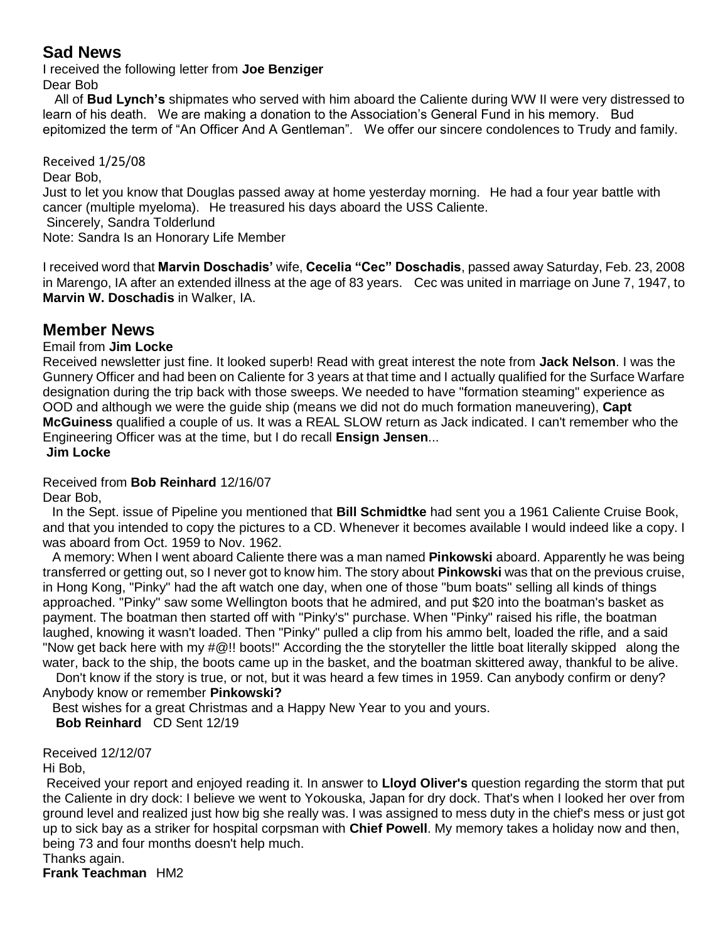# **Sad News**

I received the following letter from **Joe Benziger** Dear Bob

 All of **Bud Lynch's** shipmates who served with him aboard the Caliente during WW II were very distressed to learn of his death. We are making a donation to the Association's General Fund in his memory. Bud epitomized the term of "An Officer And A Gentleman". We offer our sincere condolences to Trudy and family.

Received 1/25/08 Dear Bob, Just to let you know that Douglas passed away at home yesterday morning. He had a four year battle with cancer (multiple myeloma). He treasured his days aboard the USS Caliente. Sincerely, Sandra Tolderlund Note: Sandra Is an Honorary Life Member

I received word that **Marvin Doschadis'** wife, **Cecelia "Cec" Doschadis**, passed away Saturday, Feb. 23, 2008 in Marengo, IA after an extended illness at the age of 83 years. Cec was united in marriage on June 7, 1947, to **Marvin W. Doschadis** in Walker, IA.

# **Member News**

#### Email from **Jim Locke**

Received newsletter just fine. It looked superb! Read with great interest the note from **Jack Nelson**. I was the Gunnery Officer and had been on Caliente for 3 years at that time and I actually qualified for the Surface Warfare designation during the trip back with those sweeps. We needed to have "formation steaming" experience as OOD and although we were the guide ship (means we did not do much formation maneuvering), **Capt McGuiness** qualified a couple of us. It was a REAL SLOW return as Jack indicated. I can't remember who the Engineering Officer was at the time, but I do recall **Ensign Jensen**... **Jim Locke**

#### Received from **Bob Reinhard** 12/16/07

Dear Bob,

In the Sept. issue of Pipeline you mentioned that **Bill Schmidtke** had sent you a 1961 Caliente Cruise Book, and that you intended to copy the pictures to a CD. Whenever it becomes available I would indeed like a copy. I was aboard from Oct. 1959 to Nov. 1962.

A memory: When I went aboard Caliente there was a man named **Pinkowski** aboard. Apparently he was being transferred or getting out, so I never got to know him. The story about **Pinkowski** was that on the previous cruise, in Hong Kong, "Pinky" had the aft watch one day, when one of those "bum boats" selling all kinds of things approached. "Pinky" saw some Wellington boots that he admired, and put \$20 into the boatman's basket as payment. The boatman then started off with "Pinky's" purchase. When "Pinky" raised his rifle, the boatman laughed, knowing it wasn't loaded. Then "Pinky" pulled a clip from his ammo belt, loaded the rifle, and a said "Now get back here with my #@!! boots!" According the the storyteller the little boat literally skipped along the water, back to the ship, the boots came up in the basket, and the boatman skittered away, thankful to be alive.

Don't know if the story is true, or not, but it was heard a few times in 1959. Can anybody confirm or deny? Anybody know or remember **Pinkowski?**

Best wishes for a great Christmas and a Happy New Year to you and yours. **Bob Reinhard** CD Sent 12/19

Received 12/12/07

Hi Bob,

Received your report and enjoyed reading it. In answer to **Lloyd Oliver's** question regarding the storm that put the Caliente in dry dock: I believe we went to Yokouska, Japan for dry dock. That's when I looked her over from ground level and realized just how big she really was. I was assigned to mess duty in the chief's mess or just got up to sick bay as a striker for hospital corpsman with **Chief Powell**. My memory takes a holiday now and then, being 73 and four months doesn't help much.

Thanks again.

**Frank Teachman** HM2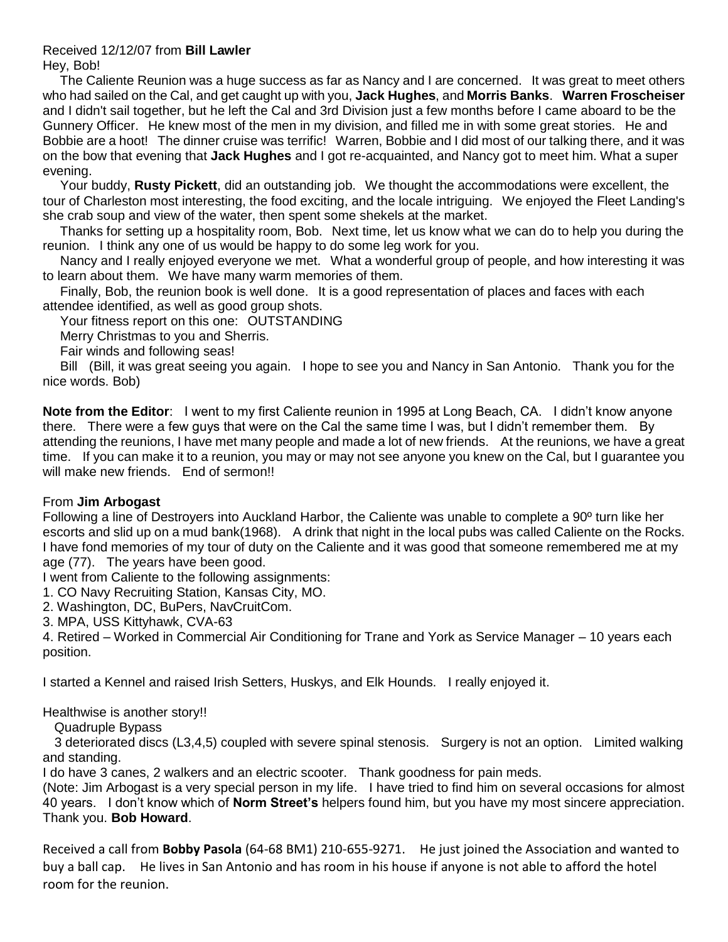#### Received 12/12/07 from **Bill Lawler** Hey, Bob!

 The Caliente Reunion was a huge success as far as Nancy and I are concerned. It was great to meet others who had sailed on the Cal, and get caught up with you, **Jack Hughes**, and **Morris Banks**. **Warren Froscheiser** and I didn't sail together, but he left the Cal and 3rd Division just a few months before I came aboard to be the Gunnery Officer. He knew most of the men in my division, and filled me in with some great stories. He and Bobbie are a hoot! The dinner cruise was terrific! Warren, Bobbie and I did most of our talking there, and it was on the bow that evening that **Jack Hughes** and I got re-acquainted, and Nancy got to meet him. What a super evening.

 Your buddy, **Rusty Pickett**, did an outstanding job. We thought the accommodations were excellent, the tour of Charleston most interesting, the food exciting, and the locale intriguing. We enjoyed the Fleet Landing's she crab soup and view of the water, then spent some shekels at the market.

 Thanks for setting up a hospitality room, Bob. Next time, let us know what we can do to help you during the reunion. I think any one of us would be happy to do some leg work for you.

 Nancy and I really enjoyed everyone we met. What a wonderful group of people, and how interesting it was to learn about them. We have many warm memories of them.

 Finally, Bob, the reunion book is well done. It is a good representation of places and faces with each attendee identified, as well as good group shots.

Your fitness report on this one: OUTSTANDING

Merry Christmas to you and Sherris.

Fair winds and following seas!

 Bill (Bill, it was great seeing you again. I hope to see you and Nancy in San Antonio. Thank you for the nice words. Bob)

**Note from the Editor**: I went to my first Caliente reunion in 1995 at Long Beach, CA. I didn't know anyone there. There were a few guys that were on the Cal the same time I was, but I didn't remember them. By attending the reunions, I have met many people and made a lot of new friends. At the reunions, we have a great time. If you can make it to a reunion, you may or may not see anyone you knew on the Cal, but I guarantee you will make new friends. End of sermon!!

### From **Jim Arbogast**

Following a line of Destroyers into Auckland Harbor, the Caliente was unable to complete a 90º turn like her escorts and slid up on a mud bank(1968). A drink that night in the local pubs was called Caliente on the Rocks. I have fond memories of my tour of duty on the Caliente and it was good that someone remembered me at my age (77). The years have been good.

I went from Caliente to the following assignments:

1. CO Navy Recruiting Station, Kansas City, MO.

2. Washington, DC, BuPers, NavCruitCom.

3. MPA, USS Kittyhawk, CVA-63

4. Retired – Worked in Commercial Air Conditioning for Trane and York as Service Manager – 10 years each position.

I started a Kennel and raised Irish Setters, Huskys, and Elk Hounds. I really enjoyed it.

Healthwise is another story!!

Quadruple Bypass

 3 deteriorated discs (L3,4,5) coupled with severe spinal stenosis. Surgery is not an option. Limited walking and standing.

I do have 3 canes, 2 walkers and an electric scooter. Thank goodness for pain meds.

(Note: Jim Arbogast is a very special person in my life. I have tried to find him on several occasions for almost 40 years. I don't know which of **Norm Street's** helpers found him, but you have my most sincere appreciation. Thank you. **Bob Howard**.

Received a call from **Bobby Pasola** (64-68 BM1) 210-655-9271. He just joined the Association and wanted to buy a ball cap. He lives in San Antonio and has room in his house if anyone is not able to afford the hotel room for the reunion.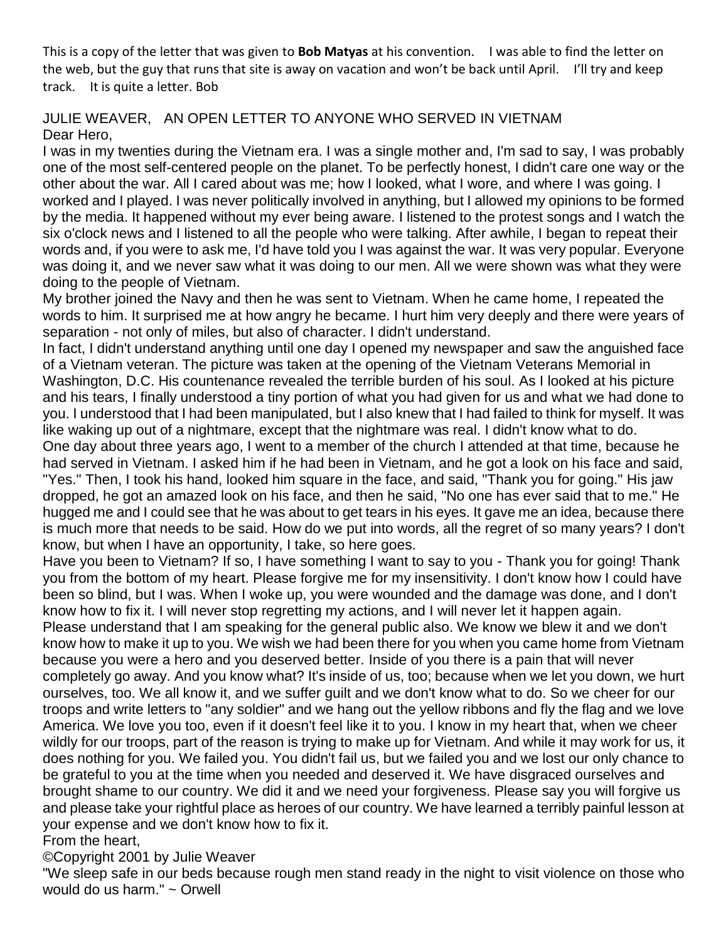This is a copy of the letter that was given to **Bob Matyas** at his convention. I was able to find the letter on the web, but the guy that runs that site is away on vacation and won't be back until April. I'll try and keep track. It is quite a letter. Bob

## JULIE WEAVER, AN OPEN LETTER TO ANYONE WHO SERVED IN VIETNAM Dear Hero,

I was in my twenties during the Vietnam era. I was a single mother and, I'm sad to say, I was probably one of the most self-centered people on the planet. To be perfectly honest, I didn't care one way or the other about the war. All I cared about was me; how I looked, what I wore, and where I was going. I worked and I played. I was never politically involved in anything, but I allowed my opinions to be formed by the media. It happened without my ever being aware. I listened to the protest songs and I watch the six o'clock news and I listened to all the people who were talking. After awhile, I began to repeat their words and, if you were to ask me, I'd have told you I was against the war. It was very popular. Everyone was doing it, and we never saw what it was doing to our men. All we were shown was what they were doing to the people of Vietnam.

My brother joined the Navy and then he was sent to Vietnam. When he came home, I repeated the words to him. It surprised me at how angry he became. I hurt him very deeply and there were years of separation - not only of miles, but also of character. I didn't understand.

In fact, I didn't understand anything until one day I opened my newspaper and saw the anguished face of a Vietnam veteran. The picture was taken at the opening of the Vietnam Veterans Memorial in Washington, D.C. His countenance revealed the terrible burden of his soul. As I looked at his picture and his tears, I finally understood a tiny portion of what you had given for us and what we had done to you. I understood that I had been manipulated, but I also knew that I had failed to think for myself. It was like waking up out of a nightmare, except that the nightmare was real. I didn't know what to do.

One day about three years ago, I went to a member of the church I attended at that time, because he had served in Vietnam. I asked him if he had been in Vietnam, and he got a look on his face and said, "Yes." Then, I took his hand, looked him square in the face, and said, "Thank you for going." His jaw dropped, he got an amazed look on his face, and then he said, "No one has ever said that to me." He hugged me and I could see that he was about to get tears in his eyes. It gave me an idea, because there is much more that needs to be said. How do we put into words, all the regret of so many years? I don't know, but when I have an opportunity, I take, so here goes.

Have you been to Vietnam? If so, I have something I want to say to you - Thank you for going! Thank you from the bottom of my heart. Please forgive me for my insensitivity. I don't know how I could have been so blind, but I was. When I woke up, you were wounded and the damage was done, and I don't know how to fix it. I will never stop regretting my actions, and I will never let it happen again.

Please understand that I am speaking for the general public also. We know we blew it and we don't know how to make it up to you. We wish we had been there for you when you came home from Vietnam because you were a hero and you deserved better. Inside of you there is a pain that will never completely go away. And you know what? It's inside of us, too; because when we let you down, we hurt ourselves, too. We all know it, and we suffer guilt and we don't know what to do. So we cheer for our troops and write letters to "any soldier" and we hang out the yellow ribbons and fly the flag and we love America. We love you too, even if it doesn't feel like it to you. I know in my heart that, when we cheer wildly for our troops, part of the reason is trying to make up for Vietnam. And while it may work for us, it does nothing for you. We failed you. You didn't fail us, but we failed you and we lost our only chance to be grateful to you at the time when you needed and deserved it. We have disgraced ourselves and brought shame to our country. We did it and we need your forgiveness. Please say you will forgive us and please take your rightful place as heroes of our country. We have learned a terribly painful lesson at your expense and we don't know how to fix it.

### From the heart,

©Copyright 2001 by Julie Weaver

"We sleep safe in our beds because rough men stand ready in the night to visit violence on those who would do us harm." ~ Orwell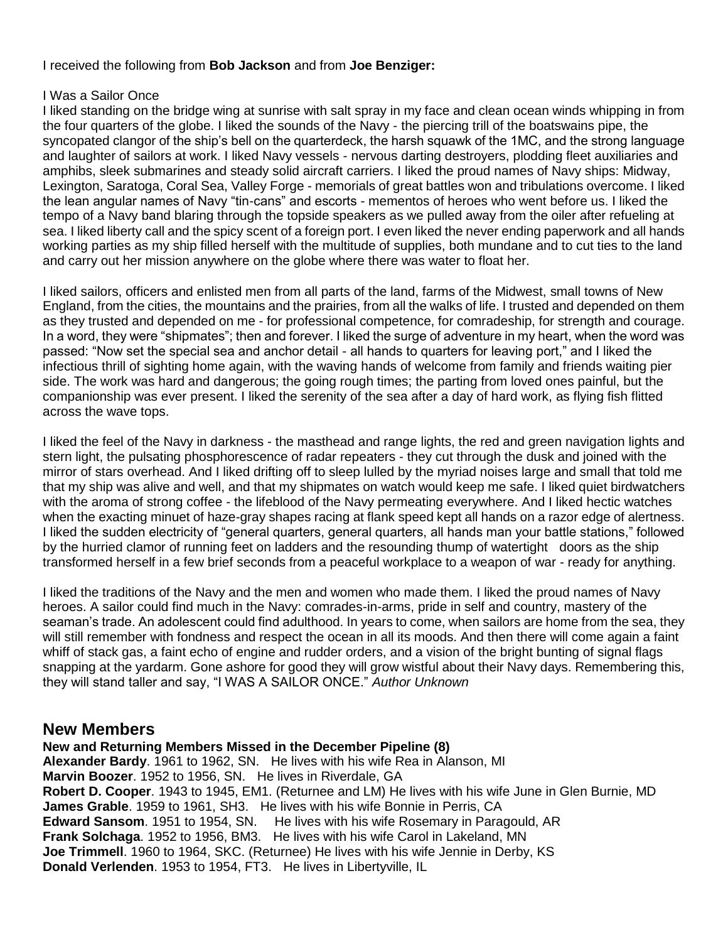#### I received the following from **Bob Jackson** and from **Joe Benziger:**

#### I Was a Sailor Once

I liked standing on the bridge wing at sunrise with salt spray in my face and clean ocean winds whipping in from the four quarters of the globe. I liked the sounds of the Navy - the piercing trill of the boatswains pipe, the syncopated clangor of the ship's bell on the quarterdeck, the harsh squawk of the 1MC, and the strong language and laughter of sailors at work. I liked Navy vessels - nervous darting destroyers, plodding fleet auxiliaries and amphibs, sleek submarines and steady solid aircraft carriers. I liked the proud names of Navy ships: Midway, Lexington, Saratoga, Coral Sea, Valley Forge - memorials of great battles won and tribulations overcome. I liked the lean angular names of Navy "tin-cans" and escorts - mementos of heroes who went before us. I liked the tempo of a Navy band blaring through the topside speakers as we pulled away from the oiler after refueling at sea. I liked liberty call and the spicy scent of a foreign port. I even liked the never ending paperwork and all hands working parties as my ship filled herself with the multitude of supplies, both mundane and to cut ties to the land and carry out her mission anywhere on the globe where there was water to float her.

I liked sailors, officers and enlisted men from all parts of the land, farms of the Midwest, small towns of New England, from the cities, the mountains and the prairies, from all the walks of life. I trusted and depended on them as they trusted and depended on me - for professional competence, for comradeship, for strength and courage. In a word, they were "shipmates"; then and forever. I liked the surge of adventure in my heart, when the word was passed: "Now set the special sea and anchor detail - all hands to quarters for leaving port," and I liked the infectious thrill of sighting home again, with the waving hands of welcome from family and friends waiting pier side. The work was hard and dangerous; the going rough times; the parting from loved ones painful, but the companionship was ever present. I liked the serenity of the sea after a day of hard work, as flying fish flitted across the wave tops.

I liked the feel of the Navy in darkness - the masthead and range lights, the red and green navigation lights and stern light, the pulsating phosphorescence of radar repeaters - they cut through the dusk and joined with the mirror of stars overhead. And I liked drifting off to sleep lulled by the myriad noises large and small that told me that my ship was alive and well, and that my shipmates on watch would keep me safe. I liked quiet birdwatchers with the aroma of strong coffee - the lifeblood of the Navy permeating everywhere. And I liked hectic watches when the exacting minuet of haze-gray shapes racing at flank speed kept all hands on a razor edge of alertness. I liked the sudden electricity of "general quarters, general quarters, all hands man your battle stations," followed by the hurried clamor of running feet on ladders and the resounding thump of watertight doors as the ship transformed herself in a few brief seconds from a peaceful workplace to a weapon of war - ready for anything.

I liked the traditions of the Navy and the men and women who made them. I liked the proud names of Navy heroes. A sailor could find much in the Navy: comrades-in-arms, pride in self and country, mastery of the seaman's trade. An adolescent could find adulthood. In years to come, when sailors are home from the sea, they will still remember with fondness and respect the ocean in all its moods. And then there will come again a faint whiff of stack gas, a faint echo of engine and rudder orders, and a vision of the bright bunting of signal flags snapping at the yardarm. Gone ashore for good they will grow wistful about their Navy days. Remembering this, they will stand taller and say, "I WAS A SAILOR ONCE." *Author Unknown*

### **New Members**

**New and Returning Members Missed in the December Pipeline (8) Alexander Bardy**. 1961 to 1962, SN. He lives with his wife Rea in Alanson, MI **Marvin Boozer**. 1952 to 1956, SN. He lives in Riverdale, GA **Robert D. Cooper**. 1943 to 1945, EM1. (Returnee and LM) He lives with his wife June in Glen Burnie, MD **James Grable**. 1959 to 1961, SH3. He lives with his wife Bonnie in Perris, CA **Edward Sansom**. 1951 to 1954, SN. He lives with his wife Rosemary in Paragould, AR **Frank Solchaga**. 1952 to 1956, BM3. He lives with his wife Carol in Lakeland, MN **Joe Trimmell**. 1960 to 1964, SKC. (Returnee) He lives with his wife Jennie in Derby, KS **Donald Verlenden**. 1953 to 1954, FT3. He lives in Libertyville, IL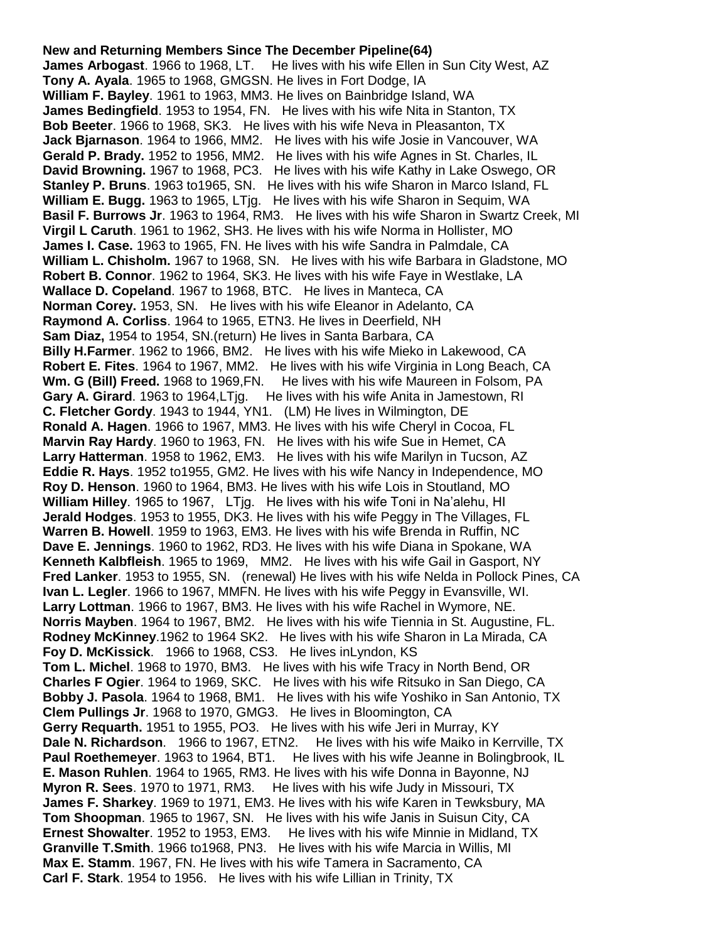#### **New and Returning Members Since The December Pipeline(64) James Arbogast**. 1966 to 1968, LT. He lives with his wife Ellen in Sun City West, AZ **Tony A. Ayala**. 1965 to 1968, GMGSN. He lives in Fort Dodge, IA **William F. Bayley**. 1961 to 1963, MM3. He lives on Bainbridge Island, WA **James Bedingfield**. 1953 to 1954, FN. He lives with his wife Nita in Stanton, TX **Bob Beeter**. 1966 to 1968, SK3. He lives with his wife Neva in Pleasanton, TX **Jack Bjarnason**. 1964 to 1966, MM2. He lives with his wife Josie in Vancouver, WA **Gerald P. Brady.** 1952 to 1956, MM2. He lives with his wife Agnes in St. Charles, IL **David Browning.** 1967 to 1968, PC3. He lives with his wife Kathy in Lake Oswego, OR **Stanley P. Bruns**. 1963 to1965, SN. He lives with his wife Sharon in Marco Island, FL **William E. Bugg.** 1963 to 1965, LTjg. He lives with his wife Sharon in Sequim, WA **Basil F. Burrows Jr**. 1963 to 1964, RM3. He lives with his wife Sharon in Swartz Creek, MI **Virgil L Caruth**. 1961 to 1962, SH3. He lives with his wife Norma in Hollister, MO **James I. Case.** 1963 to 1965, FN. He lives with his wife Sandra in Palmdale, CA **William L. Chisholm.** 1967 to 1968, SN. He lives with his wife Barbara in Gladstone, MO **Robert B. Connor**. 1962 to 1964, SK3. He lives with his wife Faye in Westlake, LA **Wallace D. Copeland**. 1967 to 1968, BTC. He lives in Manteca, CA **Norman Corey.** 1953, SN. He lives with his wife Eleanor in Adelanto, CA **Raymond A. Corliss**. 1964 to 1965, ETN3. He lives in Deerfield, NH **Sam Diaz,** 1954 to 1954, SN.(return) He lives in Santa Barbara, CA **Billy H.Farmer**. 1962 to 1966, BM2. He lives with his wife Mieko in Lakewood, CA **Robert E. Fites**. 1964 to 1967, MM2. He lives with his wife Virginia in Long Beach, CA **Wm. G (Bill) Freed.** 1968 to 1969,FN. He lives with his wife Maureen in Folsom, PA **Gary A. Girard**. 1963 to 1964,LTjg. He lives with his wife Anita in Jamestown, RI **C. Fletcher Gordy**. 1943 to 1944, YN1. (LM) He lives in Wilmington, DE **Ronald A. Hagen**. 1966 to 1967, MM3. He lives with his wife Cheryl in Cocoa, FL **Marvin Ray Hardy**. 1960 to 1963, FN. He lives with his wife Sue in Hemet, CA **Larry Hatterman**. 1958 to 1962, EM3. He lives with his wife Marilyn in Tucson, AZ **Eddie R. Hays**. 1952 to1955, GM2. He lives with his wife Nancy in Independence, MO **Roy D. Henson**. 1960 to 1964, BM3. He lives with his wife Lois in Stoutland, MO **William Hilley**. 1965 to 1967, LTjg. He lives with his wife Toni in Na'alehu, HI **Jerald Hodges**. 1953 to 1955, DK3. He lives with his wife Peggy in The Villages, FL **Warren B. Howell**. 1959 to 1963, EM3. He lives with his wife Brenda in Ruffin, NC **Dave E. Jennings**. 1960 to 1962, RD3. He lives with his wife Diana in Spokane, WA **Kenneth Kalbfleish**. 1965 to 1969, MM2. He lives with his wife Gail in Gasport, NY **Fred Lanker**. 1953 to 1955, SN. (renewal) He lives with his wife Nelda in Pollock Pines, CA **Ivan L. Legler**. 1966 to 1967, MMFN. He lives with his wife Peggy in Evansville, WI. **Larry Lottman**. 1966 to 1967, BM3. He lives with his wife Rachel in Wymore, NE. **Norris Mayben**. 1964 to 1967, BM2. He lives with his wife Tiennia in St. Augustine, FL. **Rodney McKinney**.1962 to 1964 SK2. He lives with his wife Sharon in La Mirada, CA **Foy D. McKissick**. 1966 to 1968, CS3. He lives inLyndon, KS **Tom L. Michel**. 1968 to 1970, BM3. He lives with his wife Tracy in North Bend, OR **Charles F Ogier**. 1964 to 1969, SKC. He lives with his wife Ritsuko in San Diego, CA **Bobby J. Pasola**. 1964 to 1968, BM1. He lives with his wife Yoshiko in San Antonio, TX **Clem Pullings Jr**. 1968 to 1970, GMG3. He lives in Bloomington, CA **Gerry Requarth.** 1951 to 1955, PO3. He lives with his wife Jeri in Murray, KY **Dale N. Richardson**. 1966 to 1967, ETN2. He lives with his wife Maiko in Kerrville, TX **Paul Roethemeyer.** 1963 to 1964, BT1. He lives with his wife Jeanne in Bolingbrook, IL **E. Mason Ruhlen**. 1964 to 1965, RM3. He lives with his wife Donna in Bayonne, NJ **Myron R. Sees**. 1970 to 1971, RM3. He lives with his wife Judy in Missouri, TX **James F. Sharkey**. 1969 to 1971, EM3. He lives with his wife Karen in Tewksbury, MA **Tom Shoopman**. 1965 to 1967, SN. He lives with his wife Janis in Suisun City, CA **Ernest Showalter**. 1952 to 1953, EM3. He lives with his wife Minnie in Midland, TX **Granville T.Smith**. 1966 to1968, PN3. He lives with his wife Marcia in Willis, MI **Max E. Stamm**. 1967, FN. He lives with his wife Tamera in Sacramento, CA **Carl F. Stark**. 1954 to 1956. He lives with his wife Lillian in Trinity, TX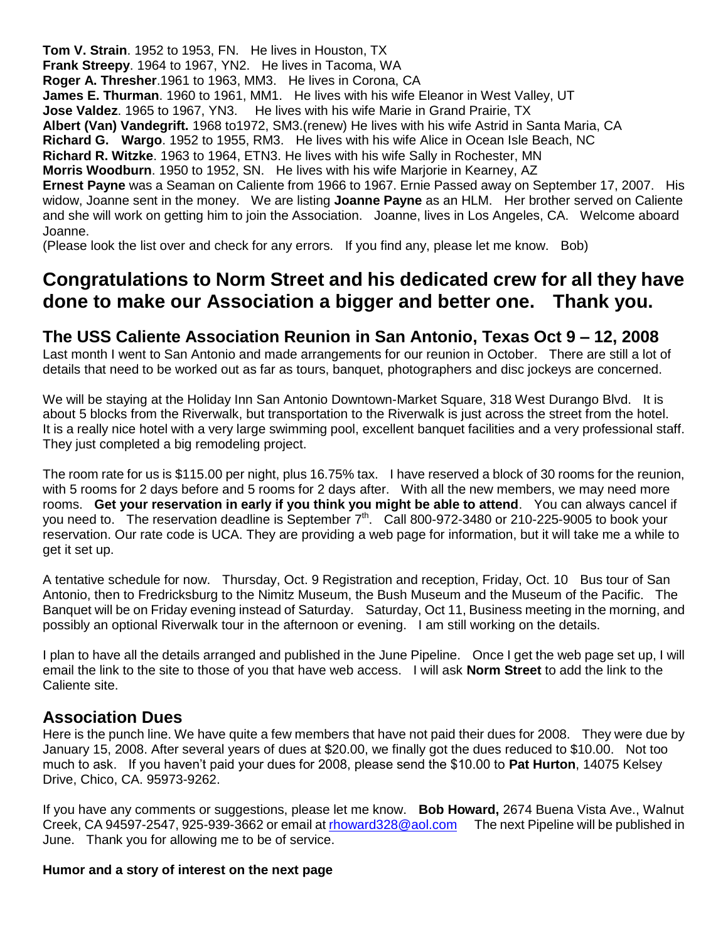**Tom V. Strain**. 1952 to 1953, FN. He lives in Houston, TX **Frank Streepy**. 1964 to 1967, YN2. He lives in Tacoma, WA **Roger A. Thresher**.1961 to 1963, MM3. He lives in Corona, CA **James E. Thurman**. 1960 to 1961, MM1. He lives with his wife Eleanor in West Valley, UT **Jose Valdez**. 1965 to 1967, YN3. He lives with his wife Marie in Grand Prairie, TX **Albert (Van) Vandegrift.** 1968 to1972, SM3.(renew) He lives with his wife Astrid in Santa Maria, CA **Richard G. Wargo**. 1952 to 1955, RM3. He lives with his wife Alice in Ocean Isle Beach, NC **Richard R. Witzke**. 1963 to 1964, ETN3. He lives with his wife Sally in Rochester, MN **Morris Woodburn**. 1950 to 1952, SN. He lives with his wife Marjorie in Kearney, AZ **Ernest Payne** was a Seaman on Caliente from 1966 to 1967. Ernie Passed away on September 17, 2007. His widow, Joanne sent in the money. We are listing **Joanne Payne** as an HLM. Her brother served on Caliente and she will work on getting him to join the Association. Joanne, lives in Los Angeles, CA. Welcome aboard Joanne.

(Please look the list over and check for any errors. If you find any, please let me know. Bob)

# **Congratulations to Norm Street and his dedicated crew for all they have done to make our Association a bigger and better one. Thank you.**

# **The USS Caliente Association Reunion in San Antonio, Texas Oct 9 – 12, 2008**

Last month I went to San Antonio and made arrangements for our reunion in October. There are still a lot of details that need to be worked out as far as tours, banquet, photographers and disc jockeys are concerned.

We will be staying at the Holiday Inn San Antonio Downtown-Market Square, 318 West Durango Blvd. It is about 5 blocks from the Riverwalk, but transportation to the Riverwalk is just across the street from the hotel. It is a really nice hotel with a very large swimming pool, excellent banquet facilities and a very professional staff. They just completed a big remodeling project.

The room rate for us is \$115.00 per night, plus 16.75% tax. I have reserved a block of 30 rooms for the reunion, with 5 rooms for 2 days before and 5 rooms for 2 days after. With all the new members, we may need more rooms. **Get your reservation in early if you think you might be able to attend**. You can always cancel if you need to. The reservation deadline is September 7<sup>th</sup>. Call 800-972-3480 or 210-225-9005 to book your reservation. Our rate code is UCA. They are providing a web page for information, but it will take me a while to get it set up.

A tentative schedule for now. Thursday, Oct. 9 Registration and reception, Friday, Oct. 10 Bus tour of San Antonio, then to Fredricksburg to the Nimitz Museum, the Bush Museum and the Museum of the Pacific. The Banquet will be on Friday evening instead of Saturday. Saturday, Oct 11, Business meeting in the morning, and possibly an optional Riverwalk tour in the afternoon or evening. I am still working on the details.

I plan to have all the details arranged and published in the June Pipeline. Once I get the web page set up, I will email the link to the site to those of you that have web access. I will ask **Norm Street** to add the link to the Caliente site.

# **Association Dues**

Here is the punch line. We have quite a few members that have not paid their dues for 2008. They were due by January 15, 2008. After several years of dues at \$20.00, we finally got the dues reduced to \$10.00. Not too much to ask. If you haven't paid your dues for 2008, please send the \$10.00 to **Pat Hurton**, 14075 Kelsey Drive, Chico, CA. 95973-9262.

If you have any comments or suggestions, please let me know. **Bob Howard,** 2674 Buena Vista Ave., Walnut Creek, CA 94597-2547, 925-939-3662 or email a[t rhoward328@aol.com](mailto:rhoward328@aol.com) The next Pipeline will be published in June. Thank you for allowing me to be of service.

#### **Humor and a story of interest on the next page**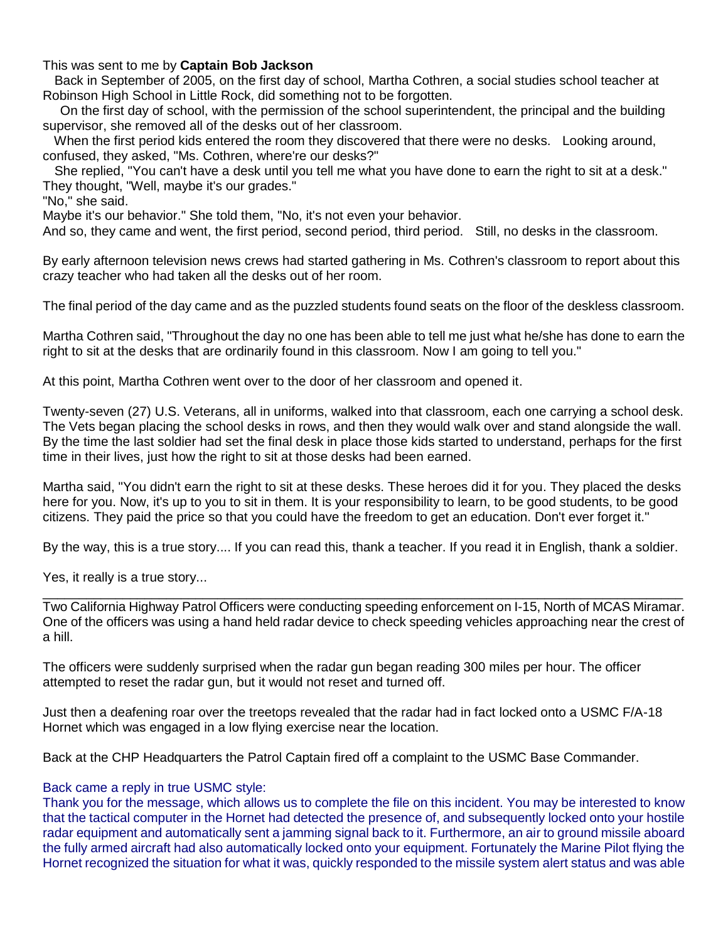This was sent to me by **Captain Bob Jackson**

 Back in September of 2005, on the first day of school, Martha Cothren, a social studies school teacher at Robinson High School in Little Rock, did something not to be forgotten.

 On the first day of school, with the permission of the school superintendent, the principal and the building supervisor, she removed all of the desks out of her classroom.

When the first period kids entered the room they discovered that there were no desks. Looking around, confused, they asked, "Ms. Cothren, where're our desks?"

 She replied, "You can't have a desk until you tell me what you have done to earn the right to sit at a desk." They thought, "Well, maybe it's our grades."

"No," she said.

Maybe it's our behavior." She told them, "No, it's not even your behavior.

And so, they came and went, the first period, second period, third period. Still, no desks in the classroom.

By early afternoon television news crews had started gathering in Ms. Cothren's classroom to report about this crazy teacher who had taken all the desks out of her room.

The final period of the day came and as the puzzled students found seats on the floor of the deskless classroom.

Martha Cothren said, "Throughout the day no one has been able to tell me just what he/she has done to earn the right to sit at the desks that are ordinarily found in this classroom. Now I am going to tell you."

At this point, Martha Cothren went over to the door of her classroom and opened it.

Twenty-seven (27) U.S. Veterans, all in uniforms, walked into that classroom, each one carrying a school desk. The Vets began placing the school desks in rows, and then they would walk over and stand alongside the wall. By the time the last soldier had set the final desk in place those kids started to understand, perhaps for the first time in their lives, just how the right to sit at those desks had been earned.

Martha said, "You didn't earn the right to sit at these desks. These heroes did it for you. They placed the desks here for you. Now, it's up to you to sit in them. It is your responsibility to learn, to be good students, to be good citizens. They paid the price so that you could have the freedom to get an education. Don't ever forget it."

By the way, this is a true story.... If you can read this, thank a teacher. If you read it in English, thank a soldier.

Yes, it really is a true story...

Two California Highway Patrol Officers were conducting speeding enforcement on I-15, North of MCAS Miramar. One of the officers was using a hand held radar device to check speeding vehicles approaching near the crest of a hill.

\_\_\_\_\_\_\_\_\_\_\_\_\_\_\_\_\_\_\_\_\_\_\_\_\_\_\_\_\_\_\_\_\_\_\_\_\_\_\_\_\_\_\_\_\_\_\_\_\_\_\_\_\_\_\_\_\_\_\_\_\_\_\_\_\_\_\_\_\_\_\_\_\_\_\_\_\_\_\_\_\_\_\_\_\_\_\_\_

The officers were suddenly surprised when the radar gun began reading 300 miles per hour. The officer attempted to reset the radar gun, but it would not reset and turned off.

Just then a deafening roar over the treetops revealed that the radar had in fact locked onto a USMC F/A-18 Hornet which was engaged in a low flying exercise near the location.

Back at the CHP Headquarters the Patrol Captain fired off a complaint to the USMC Base Commander.

#### Back came a reply in true USMC style:

Thank you for the message, which allows us to complete the file on this incident. You may be interested to know that the tactical computer in the Hornet had detected the presence of, and subsequently locked onto your hostile radar equipment and automatically sent a jamming signal back to it. Furthermore, an air to ground missile aboard the fully armed aircraft had also automatically locked onto your equipment. Fortunately the Marine Pilot flying the Hornet recognized the situation for what it was, quickly responded to the missile system alert status and was able